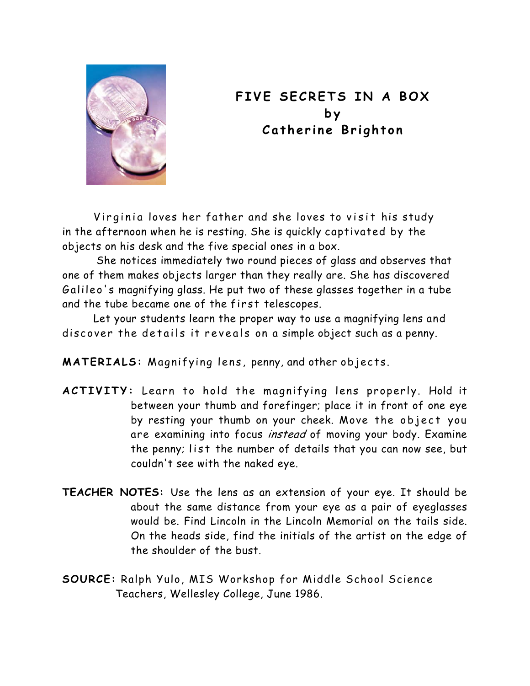

## **FIVE SECRETS IN A BOX by Catherine Brighton**

Virginia loves her father and she loves to visit his study in the afternoon when he is resting. She is quickly captivated by the objects on his desk and the five special ones in a box.

She notices immediately two round pieces of glass and observes that one of them makes objects larger than they really are. She has discovered Galileo's magnifying glass. He put two of these glasses together in a tube and the tube became one of the first telescopes.

 Let your students learn the proper way to use a magnifying lens and discover the details it reveals on a simple object such as a penny.

**MATERIALS:** Magnifying lens, penny, and other objects.

- **ACTIVITY:** Learn to hold the magnifying lens properly. Hold it between your thumb and forefinger; place it in front of one eye by resting your thumb on your cheek. Move the object you are examining into focus instead of moving your body. Examine the penny; list the number of details that you can now see, but couldn't see with the naked eye.
- **TEACHER NOTES:** Use the lens as an extension of your eye. It should be about the same distance from your eye as a pair of eyeglasses would be. Find Lincoln in the Lincoln Memorial on the tails side. On the heads side, find the initials of the artist on the edge of the shoulder of the bust.
- **SOURCE:** Ralph Yulo, MIS Workshop for Middle School Science Teachers, Wellesley College, June 1986.